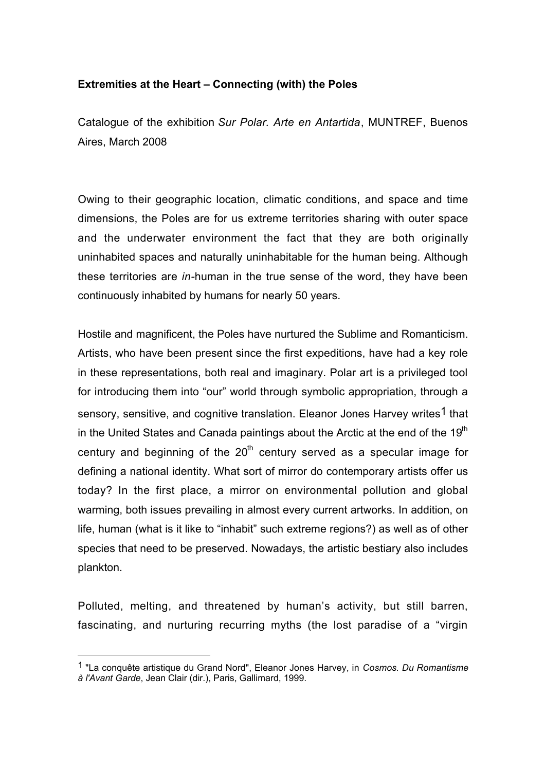## **Extremities at the Heart – Connecting (with) the Poles**

Catalogue of the exhibition *Sur Polar. Arte en Antartida*, MUNTREF, Buenos Aires, March 2008

Owing to their geographic location, climatic conditions, and space and time dimensions, the Poles are for us extreme territories sharing with outer space and the underwater environment the fact that they are both originally uninhabited spaces and naturally uninhabitable for the human being. Although these territories are *in-*human in the true sense of the word, they have been continuously inhabited by humans for nearly 50 years.

Hostile and magnificent, the Poles have nurtured the Sublime and Romanticism. Artists, who have been present since the first expeditions, have had a key role in these representations, both real and imaginary. Polar art is a privileged tool for introducing them into "our" world through symbolic appropriation, through a sensory, sensitive, and cognitive translation. Eleanor Jones Harvey writes<sup>1</sup> that in the United States and Canada paintings about the Arctic at the end of the  $19<sup>th</sup>$ century and beginning of the  $20<sup>th</sup>$  century served as a specular image for defining a national identity. What sort of mirror do contemporary artists offer us today? In the first place, a mirror on environmental pollution and global warming, both issues prevailing in almost every current artworks. In addition, on life, human (what is it like to "inhabit" such extreme regions?) as well as of other species that need to be preserved. Nowadays, the artistic bestiary also includes plankton.

Polluted, melting, and threatened by human's activity, but still barren, fascinating, and nurturing recurring myths (the lost paradise of a "virgin

<sup>1</sup> "La conquête artistique du Grand Nord", Eleanor Jones Harvey, in *Cosmos. Du Romantisme à l'Avant Garde*, Jean Clair (dir.), Paris, Gallimard, 1999.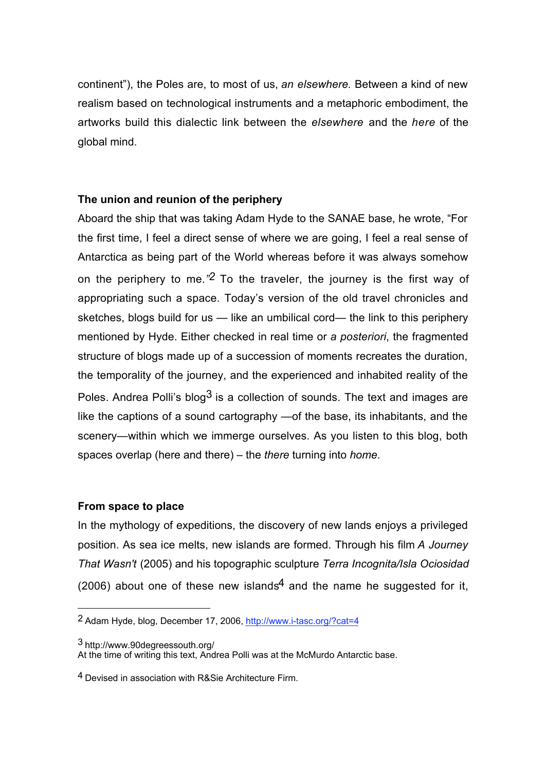continent"), the Poles are, to most of us, *an elsewhere.* Between a kind of new realism based on technological instruments and a metaphoric embodiment, the artworks build this dialectic link between the *elsewhere* and the *here* of the global mind.

## **The union and reunion of the periphery**

Aboard the ship that was taking Adam Hyde to the SANAE base, he wrote, "For the first time, I feel a direct sense of where we are going, I feel a real sense of Antarctica as being part of the World whereas before it was always somehow on the periphery to me*."2* To the traveler, the journey is the first way of appropriating such a space. Today's version of the old travel chronicles and sketches, blogs build for us — like an umbilical cord— the link to this periphery mentioned by Hyde. Either checked in real time or *a posteriori*, the fragmented structure of blogs made up of a succession of moments recreates the duration, the temporality of the journey, and the experienced and inhabited reality of the Poles. Andrea Polli's blog<sup>3</sup> is a collection of sounds. The text and images are like the captions of a sound cartography —of the base, its inhabitants, and the scenery—within which we immerge ourselves. As you listen to this blog, both spaces overlap (here and there) – the *there* turning into *home*.

### **From space to place**

 $\overline{a}$ 

In the mythology of expeditions, the discovery of new lands enjoys a privileged position. As sea ice melts, new islands are formed. Through his film *A Journey That Wasn't* (2005) and his topographic sculpture *Terra Incognita/Isla Ociosidad* (2006) about one of these new islands<sup>4</sup> and the name he suggested for it,

<sup>2</sup> Adam Hyde, blog, December 17, 2006, http://www.i-tasc.org/?cat=4

<sup>3</sup> http://www.90degreessouth.org/

At the time of writing this text, Andrea Polli was at the McMurdo Antarctic base.

<sup>4</sup> Devised in association with R&Sie Architecture Firm.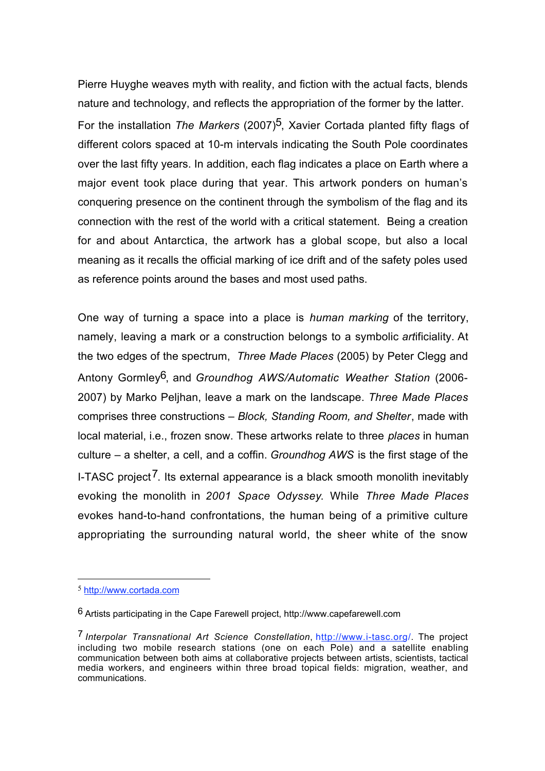Pierre Huyghe weaves myth with reality, and fiction with the actual facts, blends nature and technology, and reflects the appropriation of the former by the latter. For the installation *The Markers* (2007)5, Xavier Cortada planted fifty flags of different colors spaced at 10-m intervals indicating the South Pole coordinates over the last fifty years. In addition, each flag indicates a place on Earth where a major event took place during that year. This artwork ponders on human's conquering presence on the continent through the symbolism of the flag and its connection with the rest of the world with a critical statement. Being a creation for and about Antarctica, the artwork has a global scope, but also a local meaning as it recalls the official marking of ice drift and of the safety poles used as reference points around the bases and most used paths.

One way of turning a space into a place is *human marking* of the territory, namely, leaving a mark or a construction belongs to a symbolic *art*ificiality. At the two edges of the spectrum, *Three Made Places* (2005) by Peter Clegg and Antony Gormley6, and *Groundhog AWS/Automatic Weather Station* (2006- 2007) by Marko Peljhan, leave a mark on the landscape. *Three Made Places* comprises three constructions – *Block, Standing Room, and Shelter*, made with local material, i.e., frozen snow. These artworks relate to three *places* in human culture – a shelter, a cell, and a coffin. *Groundhog AWS* is the first stage of the I-TASC project<sup>7</sup>. Its external appearance is a black smooth monolith inevitably evoking the monolith in *2001 Space Odyssey*. While *Three Made Places* evokes hand-to-hand confrontations, the human being of a primitive culture appropriating the surrounding natural world, the sheer white of the snow

<sup>5</sup> http://www.cortada.com

<sup>6</sup> Artists participating in the Cape Farewell project, http://www.capefarewell.com

<sup>7</sup> *Interpolar Transnational Art Science Constellation*, http://www.i-tasc.org/. The project including two mobile research stations (one on each Pole) and a satellite enabling communication between both aims at collaborative projects between artists, scientists, tactical media workers, and engineers within three broad topical fields: migration, weather, and communications.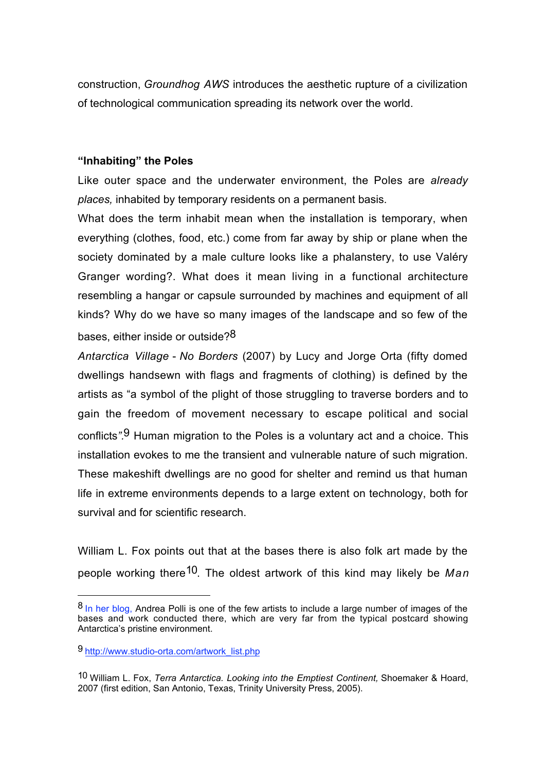construction, *Groundhog AWS* introduces the aesthetic rupture of a civilization of technological communication spreading its network over the world.

### **"Inhabiting" the Poles**

Like outer space and the underwater environment, the Poles are *already places,* inhabited by temporary residents on a permanent basis.

What does the term inhabit mean when the installation is temporary, when everything (clothes, food, etc.) come from far away by ship or plane when the society dominated by a male culture looks like a phalanstery, to use Valéry Granger wording?. What does it mean living in a functional architecture resembling a hangar or capsule surrounded by machines and equipment of all kinds? Why do we have so many images of the landscape and so few of the bases, either inside or outside? $8$ 

*Antarctica Village* - *No Borders* (2007) by Lucy and Jorge Orta (fifty domed dwellings handsewn with flags and fragments of clothing) is defined by the artists as "a symbol of the plight of those struggling to traverse borders and to gain the freedom of movement necessary to escape political and social conflicts*".*9 Human migration to the Poles is a voluntary act and a choice. This installation evokes to me the transient and vulnerable nature of such migration. These makeshift dwellings are no good for shelter and remind us that human life in extreme environments depends to a large extent on technology, both for survival and for scientific research.

William L. Fox points out that at the bases there is also folk art made by the people working there10. The oldest artwork of this kind may likely be *Man*

<sup>8</sup> In her blog, Andrea Polli is one of the few artists to include a large number of images of the bases and work conducted there, which are very far from the typical postcard showing Antarctica's pristine environment.

<sup>9</sup> http://www.studio-orta.com/artwork\_list.php

<sup>10</sup> William L. Fox, *Terra Antarctica. Looking into the Emptiest Continent,* Shoemaker & Hoard, 2007 (first edition, San Antonio, Texas, Trinity University Press, 2005).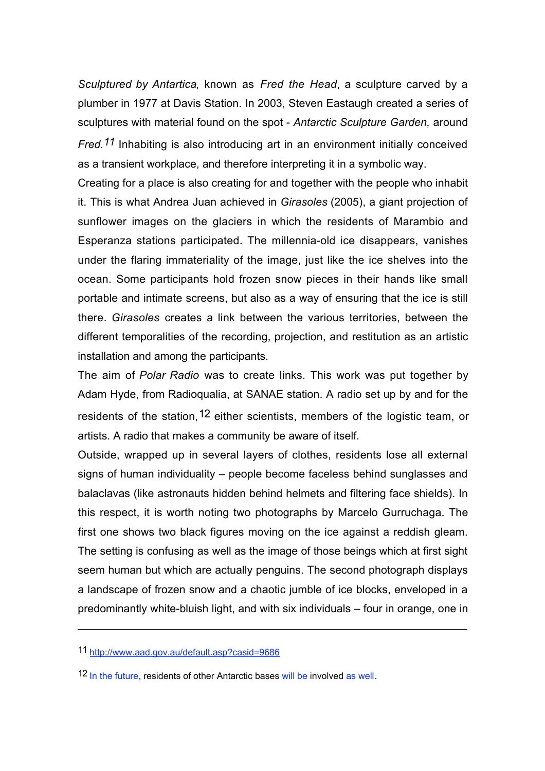*Sculptured by Antartica*, known as *Fred the Head*, a sculpture carved by a plumber in 1977 at Davis Station. In 2003, Steven Eastaugh created a series of sculptures with material found on the spot - *Antarctic Sculpture Garden,* around *Fred.11* Inhabiting is also introducing art in an environment initially conceived as a transient workplace, and therefore interpreting it in a symbolic way.

Creating for a place is also creating for and together with the people who inhabit it. This is what Andrea Juan achieved in *Girasoles* (2005), a giant projection of sunflower images on the glaciers in which the residents of Marambio and Esperanza stations participated. The millennia-old ice disappears, vanishes under the flaring immateriality of the image, just like the ice shelves into the ocean. Some participants hold frozen snow pieces in their hands like small portable and intimate screens, but also as a way of ensuring that the ice is still there. *Girasoles* creates a link between the various territories, between the different temporalities of the recording, projection, and restitution as an artistic installation and among the participants.

The aim of *Polar Radio* was to create links. This work was put together by Adam Hyde, from Radioqualia, at SANAE station. A radio set up by and for the residents of the station.<sup>12</sup> either scientists, members of the logistic team, or artists. A radio that makes a community be aware of itself.

Outside, wrapped up in several layers of clothes, residents lose all external signs of human individuality – people become faceless behind sunglasses and balaclavas (like astronauts hidden behind helmets and filtering face shields). In this respect, it is worth noting two photographs by Marcelo Gurruchaga. The first one shows two black figures moving on the ice against a reddish gleam. The setting is confusing as well as the image of those beings which at first sight seem human but which are actually penguins. The second photograph displays a landscape of frozen snow and a chaotic jumble of ice blocks, enveloped in a predominantly white-bluish light, and with six individuals – four in orange, one in

11 http://www.aad.gov.au/default.asp?casid=9686

 $\overline{a}$ 

12 In the future, residents of other Antarctic bases will be involved as well.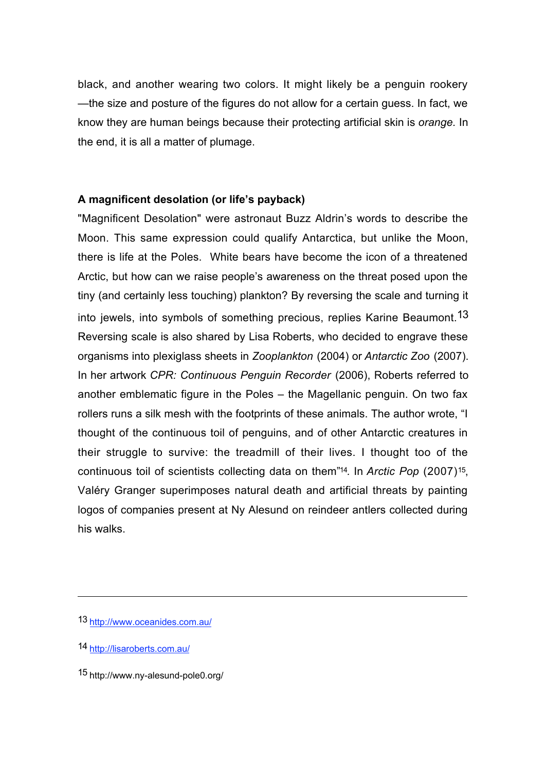black, and another wearing two colors. It might likely be a penguin rookery —the size and posture of the figures do not allow for a certain guess. In fact, we know they are human beings because their protecting artificial skin is *orange.* In the end, it is all a matter of plumage.

## **A magnificent desolation (or life's payback)**

"Magnificent Desolation" were astronaut Buzz Aldrin's words to describe the Moon. This same expression could qualify Antarctica, but unlike the Moon, there is life at the Poles. White bears have become the icon of a threatened Arctic, but how can we raise people's awareness on the threat posed upon the tiny (and certainly less touching) plankton? By reversing the scale and turning it into jewels, into symbols of something precious, replies Karine Beaumont.13 Reversing scale is also shared by Lisa Roberts, who decided to engrave these organisms into plexiglass sheets in *Zooplankton* (2004) or *Antarctic Zoo* (2007). In her artwork *CPR: Continuous Penguin Recorder* (2006), Roberts referred to another emblematic figure in the Poles – the Magellanic penguin. On two fax rollers runs a silk mesh with the footprints of these animals. The author wrote, "I thought of the continuous toil of penguins, and of other Antarctic creatures in their struggle to survive: the treadmill of their lives. I thought too of the continuous toil of scientists collecting data on them"14*.* In *Arctic Pop* (2007)15, Valéry Granger superimposes natural death and artificial threats by painting logos of companies present at Ny Alesund on reindeer antlers collected during his walks.

<sup>13</sup> http://www.oceanides.com.au/

<sup>14</sup> http://lisaroberts.com.au/

<sup>15</sup> http://www.ny-alesund-pole0.org/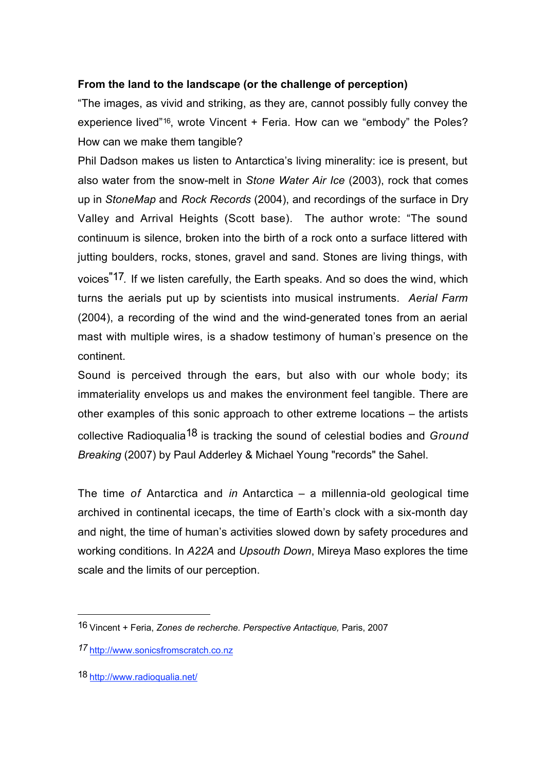# **From the land to the landscape (or the challenge of perception)**

"The images, as vivid and striking, as they are, cannot possibly fully convey the experience lived"16, wrote Vincent + Feria. How can we "embody" the Poles? How can we make them tangible?

Phil Dadson makes us listen to Antarctica's living minerality: ice is present, but also water from the snow-melt in *Stone Water Air Ice* (2003), rock that comes up in *StoneMap* and *Rock Records* (2004), and recordings of the surface in Dry Valley and Arrival Heights (Scott base). The author wrote: "The sound continuum is silence, broken into the birth of a rock onto a surface littered with jutting boulders, rocks, stones, gravel and sand. Stones are living things, with voices"17*.* If we listen carefully, the Earth speaks. And so does the wind, which turns the aerials put up by scientists into musical instruments. *Aerial Farm* (2004), a recording of the wind and the wind-generated tones from an aerial mast with multiple wires, is a shadow testimony of human's presence on the continent.

Sound is perceived through the ears, but also with our whole body; its immateriality envelops us and makes the environment feel tangible. There are other examples of this sonic approach to other extreme locations – the artists collective Radioqualia18 is tracking the sound of celestial bodies and *Ground Breaking* (2007) by Paul Adderley & Michael Young "records" the Sahel.

The time *of* Antarctica and *in* Antarctica – a millennia-old geological time archived in continental icecaps, the time of Earth's clock with a six-month day and night, the time of human's activities slowed down by safety procedures and working conditions. In *A22A* and *Upsouth Down*, Mireya Maso explores the time scale and the limits of our perception.

<sup>16</sup> Vincent + Feria, *Zones de recherche. Perspective Antactique,* Paris, 2007

*<sup>17</sup>* http://www.sonicsfromscratch.co.nz

<sup>18</sup> http://www.radioqualia.net/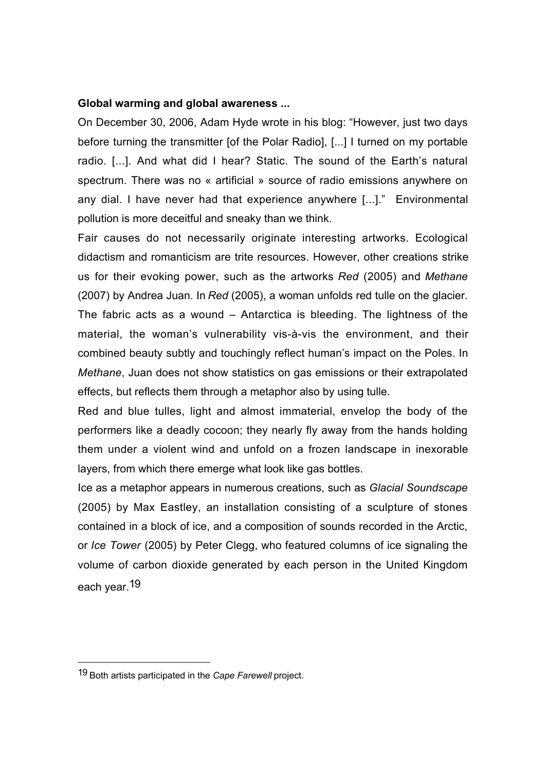### **Global warming and global awareness ...**

On December 30, 2006, Adam Hyde wrote in his blog: "However, just two days before turning the transmitter [of the Polar Radio], [...] I turned on my portable radio. [...]. And what did I hear? Static. The sound of the Earth's natural spectrum. There was no « artificial » source of radio emissions anywhere on any dial. I have never had that experience anywhere [...]." Environmental pollution is more deceitful and sneaky than we think.

Fair causes do not necessarily originate interesting artworks. Ecological didactism and romanticism are trite resources. However, other creations strike us for their evoking power, such as the artworks *Red* (2005) and *Methane* (2007) by Andrea Juan. In *Red* (2005), a woman unfolds red tulle on the glacier. The fabric acts as a wound – Antarctica is bleeding. The lightness of the material, the woman's vulnerability vis-à-vis the environment, and their combined beauty subtly and touchingly reflect human's impact on the Poles. In *Methane*, Juan does not show statistics on gas emissions or their extrapolated effects, but reflects them through a metaphor also by using tulle.

Red and blue tulles, light and almost immaterial, envelop the body of the performers like a deadly cocoon; they nearly fly away from the hands holding them under a violent wind and unfold on a frozen landscape in inexorable layers, from which there emerge what look like gas bottles.

Ice as a metaphor appears in numerous creations, such as *Glacial Soundscape* (2005) by Max Eastley, an installation consisting of a sculpture of stones contained in a block of ice, and a composition of sounds recorded in the Arctic, or *Ice Tower* (2005) by Peter Clegg, who featured columns of ice signaling the volume of carbon dioxide generated by each person in the United Kingdom each year.19

<sup>19</sup> Both artists participated in the *Cape Farewell* project.